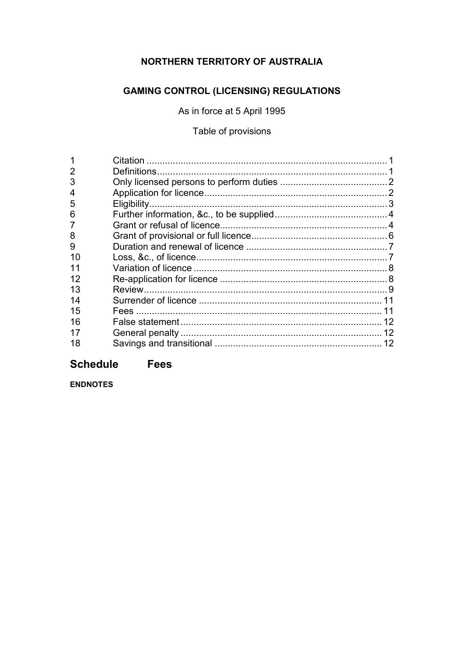# NORTHERN TERRITORY OF AUSTRALIA

# **GAMING CONTROL (LICENSING) REGULATIONS**

As in force at 5 April 1995

Table of provisions

| 3  |    |
|----|----|
|    |    |
| 5  |    |
| 6  |    |
|    |    |
| 8  |    |
| 9  |    |
| 10 |    |
|    |    |
| 12 |    |
| 13 |    |
| 14 |    |
| 15 |    |
| 16 | 12 |
| 17 |    |
| 18 |    |

# **Schedule Fees**

**ENDNOTES**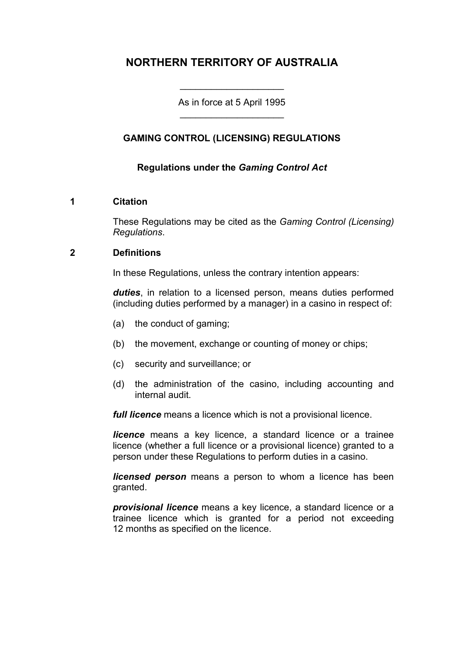# **NORTHERN TERRITORY OF AUSTRALIA**

As in force at 5 April 1995 \_\_\_\_\_\_\_\_\_\_\_\_\_\_\_\_\_\_\_\_

\_\_\_\_\_\_\_\_\_\_\_\_\_\_\_\_\_\_\_\_

# **GAMING CONTROL (LICENSING) REGULATIONS**

### **Regulations under the** *Gaming Control Act*

#### **1 Citation**

These Regulations may be cited as the *Gaming Control (Licensing) Regulations*.

#### **2 Definitions**

In these Regulations, unless the contrary intention appears:

*duties*, in relation to a licensed person, means duties performed (including duties performed by a manager) in a casino in respect of:

- (a) the conduct of gaming;
- (b) the movement, exchange or counting of money or chips;
- (c) security and surveillance; or
- (d) the administration of the casino, including accounting and internal audit.

*full licence* means a licence which is not a provisional licence.

*licence* means a key licence, a standard licence or a trainee licence (whether a full licence or a provisional licence) granted to a person under these Regulations to perform duties in a casino.

*licensed person* means a person to whom a licence has been granted.

*provisional licence* means a key licence, a standard licence or a trainee licence which is granted for a period not exceeding 12 months as specified on the licence.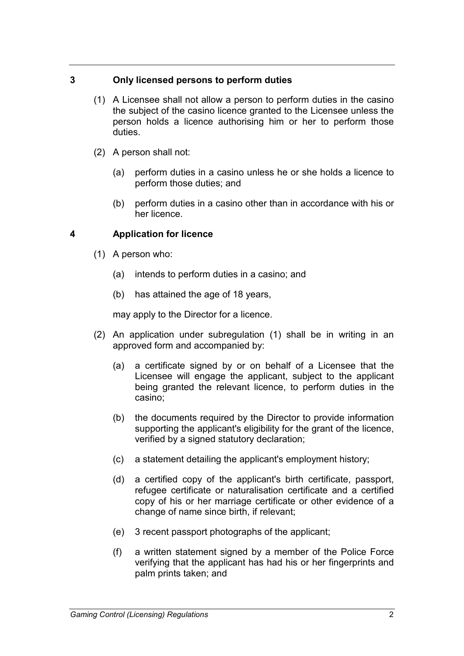# **3 Only licensed persons to perform duties**

- (1) A Licensee shall not allow a person to perform duties in the casino the subject of the casino licence granted to the Licensee unless the person holds a licence authorising him or her to perform those duties.
- (2) A person shall not:
	- (a) perform duties in a casino unless he or she holds a licence to perform those duties; and
	- (b) perform duties in a casino other than in accordance with his or her licence.

# **4 Application for licence**

- (1) A person who:
	- (a) intends to perform duties in a casino; and
	- (b) has attained the age of 18 years,

may apply to the Director for a licence.

- (2) An application under subregulation (1) shall be in writing in an approved form and accompanied by:
	- (a) a certificate signed by or on behalf of a Licensee that the Licensee will engage the applicant, subject to the applicant being granted the relevant licence, to perform duties in the casino;
	- (b) the documents required by the Director to provide information supporting the applicant's eligibility for the grant of the licence, verified by a signed statutory declaration;
	- (c) a statement detailing the applicant's employment history;
	- (d) a certified copy of the applicant's birth certificate, passport, refugee certificate or naturalisation certificate and a certified copy of his or her marriage certificate or other evidence of a change of name since birth, if relevant;
	- (e) 3 recent passport photographs of the applicant;
	- (f) a written statement signed by a member of the Police Force verifying that the applicant has had his or her fingerprints and palm prints taken; and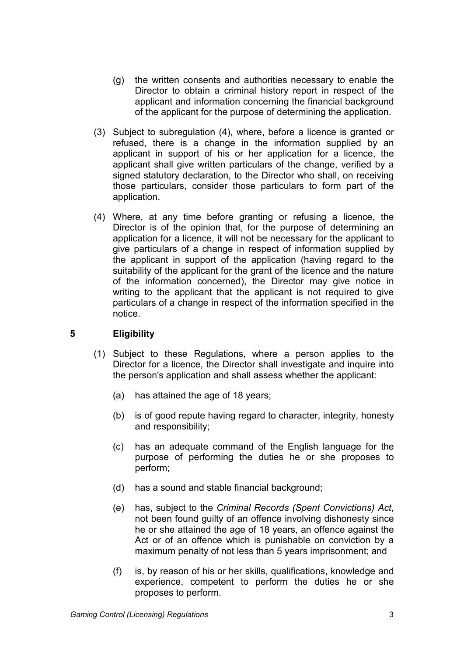- (g) the written consents and authorities necessary to enable the Director to obtain a criminal history report in respect of the applicant and information concerning the financial background of the applicant for the purpose of determining the application.
- (3) Subject to subregulation (4), where, before a licence is granted or refused, there is a change in the information supplied by an applicant in support of his or her application for a licence, the applicant shall give written particulars of the change, verified by a signed statutory declaration, to the Director who shall, on receiving those particulars, consider those particulars to form part of the application.
- (4) Where, at any time before granting or refusing a licence, the Director is of the opinion that, for the purpose of determining an application for a licence, it will not be necessary for the applicant to give particulars of a change in respect of information supplied by the applicant in support of the application (having regard to the suitability of the applicant for the grant of the licence and the nature of the information concerned), the Director may give notice in writing to the applicant that the applicant is not required to give particulars of a change in respect of the information specified in the notice.

# **5 Eligibility**

- (1) Subject to these Regulations, where a person applies to the Director for a licence, the Director shall investigate and inquire into the person's application and shall assess whether the applicant:
	- (a) has attained the age of 18 years;
	- (b) is of good repute having regard to character, integrity, honesty and responsibility;
	- (c) has an adequate command of the English language for the purpose of performing the duties he or she proposes to perform;
	- (d) has a sound and stable financial background;
	- (e) has, subject to the *Criminal Records (Spent Convictions) Act*, not been found guilty of an offence involving dishonesty since he or she attained the age of 18 years, an offence against the Act or of an offence which is punishable on conviction by a maximum penalty of not less than 5 years imprisonment; and
	- (f) is, by reason of his or her skills, qualifications, knowledge and experience, competent to perform the duties he or she proposes to perform.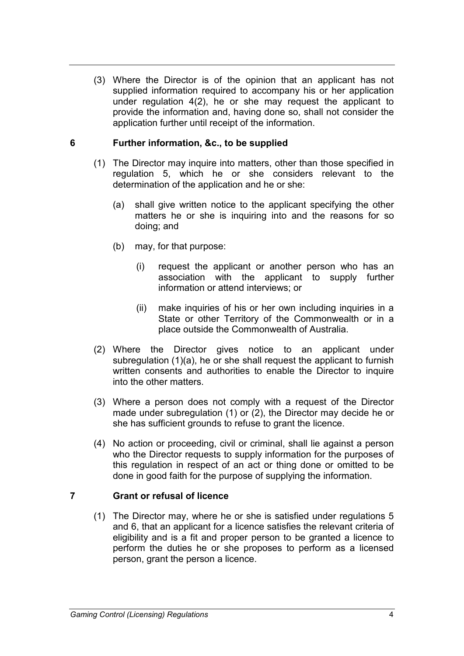(3) Where the Director is of the opinion that an applicant has not supplied information required to accompany his or her application under regulation 4(2), he or she may request the applicant to provide the information and, having done so, shall not consider the application further until receipt of the information.

### **6 Further information, &c., to be supplied**

- (1) The Director may inquire into matters, other than those specified in regulation 5, which he or she considers relevant to the determination of the application and he or she:
	- (a) shall give written notice to the applicant specifying the other matters he or she is inquiring into and the reasons for so doing; and
	- (b) may, for that purpose:
		- (i) request the applicant or another person who has an association with the applicant to supply further information or attend interviews; or
		- (ii) make inquiries of his or her own including inquiries in a State or other Territory of the Commonwealth or in a place outside the Commonwealth of Australia.
- (2) Where the Director gives notice to an applicant under subregulation (1)(a), he or she shall request the applicant to furnish written consents and authorities to enable the Director to inquire into the other matters.
- (3) Where a person does not comply with a request of the Director made under subregulation (1) or (2), the Director may decide he or she has sufficient grounds to refuse to grant the licence.
- (4) No action or proceeding, civil or criminal, shall lie against a person who the Director requests to supply information for the purposes of this regulation in respect of an act or thing done or omitted to be done in good faith for the purpose of supplying the information.

#### **7 Grant or refusal of licence**

(1) The Director may, where he or she is satisfied under regulations 5 and 6, that an applicant for a licence satisfies the relevant criteria of eligibility and is a fit and proper person to be granted a licence to perform the duties he or she proposes to perform as a licensed person, grant the person a licence.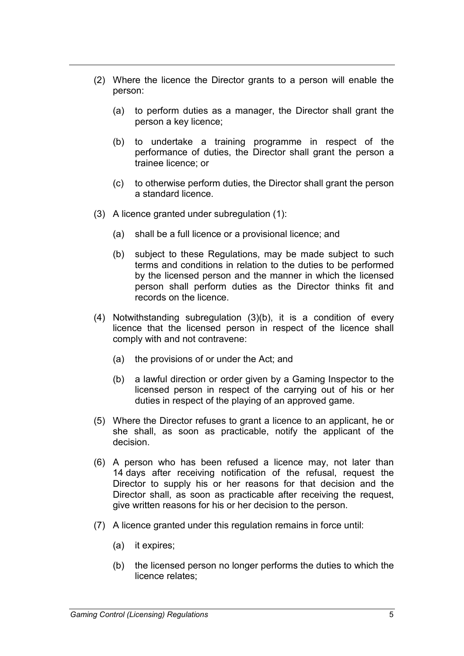- (2) Where the licence the Director grants to a person will enable the person:
	- (a) to perform duties as a manager, the Director shall grant the person a key licence;
	- (b) to undertake a training programme in respect of the performance of duties, the Director shall grant the person a trainee licence; or
	- (c) to otherwise perform duties, the Director shall grant the person a standard licence.
- (3) A licence granted under subregulation (1):
	- (a) shall be a full licence or a provisional licence; and
	- (b) subject to these Regulations, may be made subject to such terms and conditions in relation to the duties to be performed by the licensed person and the manner in which the licensed person shall perform duties as the Director thinks fit and records on the licence.
- (4) Notwithstanding subregulation (3)(b), it is a condition of every licence that the licensed person in respect of the licence shall comply with and not contravene:
	- (a) the provisions of or under the Act; and
	- (b) a lawful direction or order given by a Gaming Inspector to the licensed person in respect of the carrying out of his or her duties in respect of the playing of an approved game.
- (5) Where the Director refuses to grant a licence to an applicant, he or she shall, as soon as practicable, notify the applicant of the decision.
- (6) A person who has been refused a licence may, not later than 14 days after receiving notification of the refusal, request the Director to supply his or her reasons for that decision and the Director shall, as soon as practicable after receiving the request, give written reasons for his or her decision to the person.
- (7) A licence granted under this regulation remains in force until:
	- (a) it expires;
	- (b) the licensed person no longer performs the duties to which the licence relates;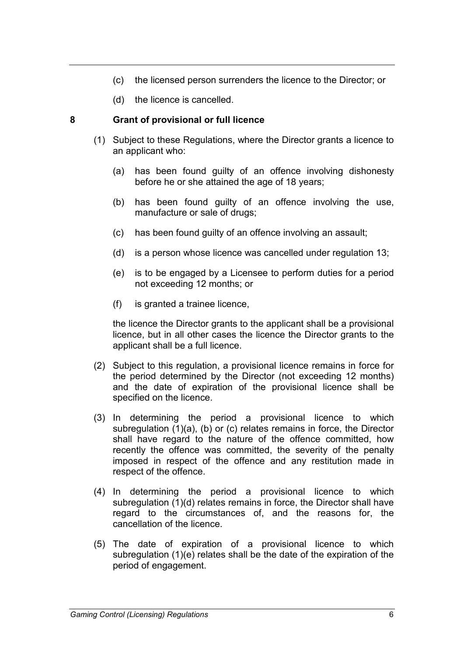- (c) the licensed person surrenders the licence to the Director; or
- (d) the licence is cancelled.

## **8 Grant of provisional or full licence**

- (1) Subject to these Regulations, where the Director grants a licence to an applicant who:
	- (a) has been found guilty of an offence involving dishonesty before he or she attained the age of 18 years;
	- (b) has been found guilty of an offence involving the use, manufacture or sale of drugs;
	- (c) has been found guilty of an offence involving an assault;
	- (d) is a person whose licence was cancelled under regulation 13;
	- (e) is to be engaged by a Licensee to perform duties for a period not exceeding 12 months; or
	- (f) is granted a trainee licence,

the licence the Director grants to the applicant shall be a provisional licence, but in all other cases the licence the Director grants to the applicant shall be a full licence.

- (2) Subject to this regulation, a provisional licence remains in force for the period determined by the Director (not exceeding 12 months) and the date of expiration of the provisional licence shall be specified on the licence.
- (3) In determining the period a provisional licence to which subregulation (1)(a), (b) or (c) relates remains in force, the Director shall have regard to the nature of the offence committed, how recently the offence was committed, the severity of the penalty imposed in respect of the offence and any restitution made in respect of the offence.
- (4) In determining the period a provisional licence to which subregulation (1)(d) relates remains in force, the Director shall have regard to the circumstances of, and the reasons for, the cancellation of the licence.
- (5) The date of expiration of a provisional licence to which subregulation (1)(e) relates shall be the date of the expiration of the period of engagement.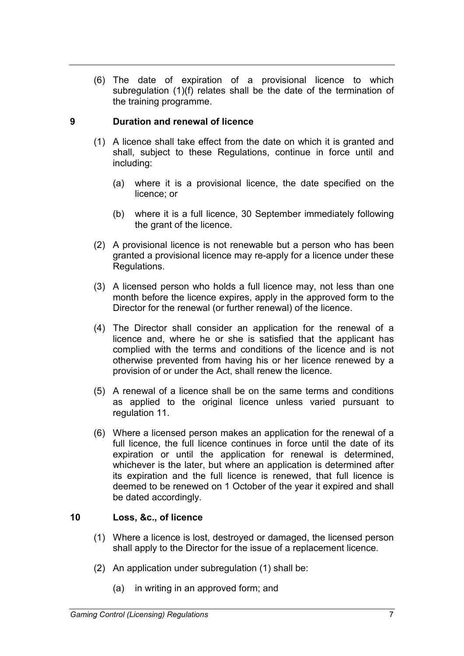(6) The date of expiration of a provisional licence to which subregulation (1)(f) relates shall be the date of the termination of the training programme.

# **9 Duration and renewal of licence**

- (1) A licence shall take effect from the date on which it is granted and shall, subject to these Regulations, continue in force until and including:
	- (a) where it is a provisional licence, the date specified on the licence; or
	- (b) where it is a full licence, 30 September immediately following the grant of the licence.
- (2) A provisional licence is not renewable but a person who has been granted a provisional licence may re-apply for a licence under these Regulations.
- (3) A licensed person who holds a full licence may, not less than one month before the licence expires, apply in the approved form to the Director for the renewal (or further renewal) of the licence.
- (4) The Director shall consider an application for the renewal of a licence and, where he or she is satisfied that the applicant has complied with the terms and conditions of the licence and is not otherwise prevented from having his or her licence renewed by a provision of or under the Act, shall renew the licence.
- (5) A renewal of a licence shall be on the same terms and conditions as applied to the original licence unless varied pursuant to regulation 11.
- (6) Where a licensed person makes an application for the renewal of a full licence, the full licence continues in force until the date of its expiration or until the application for renewal is determined, whichever is the later, but where an application is determined after its expiration and the full licence is renewed, that full licence is deemed to be renewed on 1 October of the year it expired and shall be dated accordingly.

# **10 Loss, &c., of licence**

- (1) Where a licence is lost, destroyed or damaged, the licensed person shall apply to the Director for the issue of a replacement licence.
- (2) An application under subregulation (1) shall be:
	- (a) in writing in an approved form; and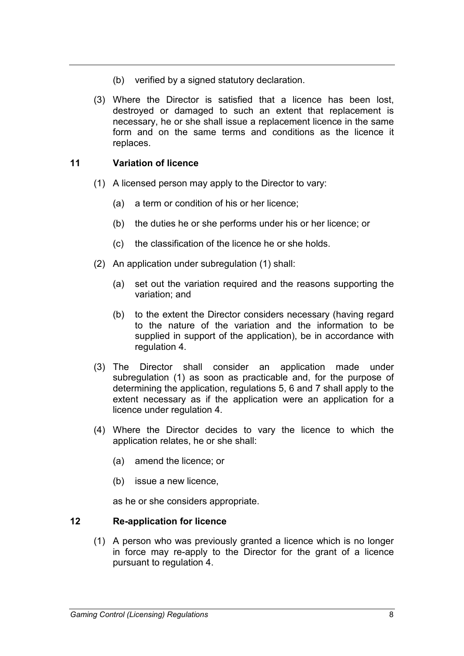- (b) verified by a signed statutory declaration.
- (3) Where the Director is satisfied that a licence has been lost, destroyed or damaged to such an extent that replacement is necessary, he or she shall issue a replacement licence in the same form and on the same terms and conditions as the licence it replaces.

## **11 Variation of licence**

- (1) A licensed person may apply to the Director to vary:
	- (a) a term or condition of his or her licence;
	- (b) the duties he or she performs under his or her licence; or
	- (c) the classification of the licence he or she holds.
- (2) An application under subregulation (1) shall:
	- (a) set out the variation required and the reasons supporting the variation; and
	- (b) to the extent the Director considers necessary (having regard to the nature of the variation and the information to be supplied in support of the application), be in accordance with regulation 4.
- (3) The Director shall consider an application made under subregulation (1) as soon as practicable and, for the purpose of determining the application, regulations 5, 6 and 7 shall apply to the extent necessary as if the application were an application for a licence under regulation 4.
- (4) Where the Director decides to vary the licence to which the application relates, he or she shall:
	- (a) amend the licence; or
	- (b) issue a new licence,

as he or she considers appropriate.

#### **12 Re-application for licence**

(1) A person who was previously granted a licence which is no longer in force may re-apply to the Director for the grant of a licence pursuant to regulation 4.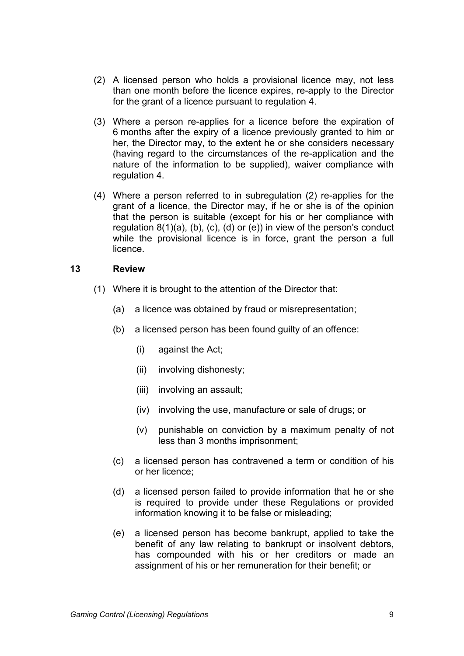- (2) A licensed person who holds a provisional licence may, not less than one month before the licence expires, re-apply to the Director for the grant of a licence pursuant to regulation 4.
- (3) Where a person re-applies for a licence before the expiration of 6 months after the expiry of a licence previously granted to him or her, the Director may, to the extent he or she considers necessary (having regard to the circumstances of the re-application and the nature of the information to be supplied), waiver compliance with regulation 4.
- (4) Where a person referred to in subregulation (2) re-applies for the grant of a licence, the Director may, if he or she is of the opinion that the person is suitable (except for his or her compliance with regulation  $8(1)(a)$ ,  $(b)$ ,  $(c)$ ,  $(d)$  or  $(e)$ ) in view of the person's conduct while the provisional licence is in force, grant the person a full licence.

### **13 Review**

- (1) Where it is brought to the attention of the Director that:
	- (a) a licence was obtained by fraud or misrepresentation;
	- (b) a licensed person has been found guilty of an offence:
		- (i) against the Act;
		- (ii) involving dishonesty;
		- (iii) involving an assault;
		- (iv) involving the use, manufacture or sale of drugs; or
		- (v) punishable on conviction by a maximum penalty of not less than 3 months imprisonment;
	- (c) a licensed person has contravened a term or condition of his or her licence;
	- (d) a licensed person failed to provide information that he or she is required to provide under these Regulations or provided information knowing it to be false or misleading;
	- (e) a licensed person has become bankrupt, applied to take the benefit of any law relating to bankrupt or insolvent debtors, has compounded with his or her creditors or made an assignment of his or her remuneration for their benefit; or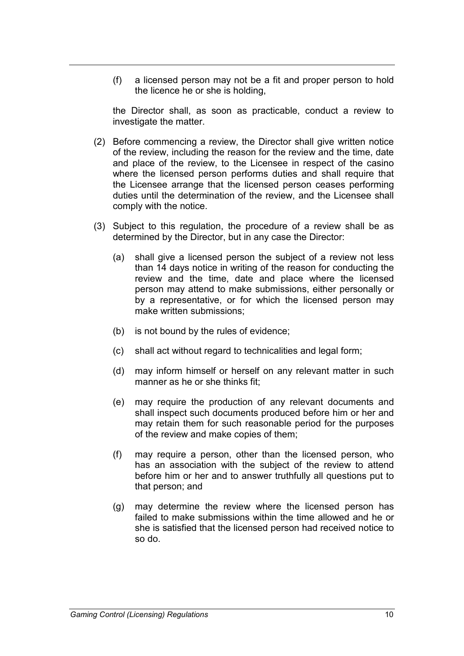(f) a licensed person may not be a fit and proper person to hold the licence he or she is holding,

the Director shall, as soon as practicable, conduct a review to investigate the matter.

- (2) Before commencing a review, the Director shall give written notice of the review, including the reason for the review and the time, date and place of the review, to the Licensee in respect of the casino where the licensed person performs duties and shall require that the Licensee arrange that the licensed person ceases performing duties until the determination of the review, and the Licensee shall comply with the notice.
- (3) Subject to this regulation, the procedure of a review shall be as determined by the Director, but in any case the Director:
	- (a) shall give a licensed person the subject of a review not less than 14 days notice in writing of the reason for conducting the review and the time, date and place where the licensed person may attend to make submissions, either personally or by a representative, or for which the licensed person may make written submissions;
	- (b) is not bound by the rules of evidence;
	- (c) shall act without regard to technicalities and legal form;
	- (d) may inform himself or herself on any relevant matter in such manner as he or she thinks fit;
	- (e) may require the production of any relevant documents and shall inspect such documents produced before him or her and may retain them for such reasonable period for the purposes of the review and make copies of them;
	- (f) may require a person, other than the licensed person, who has an association with the subject of the review to attend before him or her and to answer truthfully all questions put to that person; and
	- (g) may determine the review where the licensed person has failed to make submissions within the time allowed and he or she is satisfied that the licensed person had received notice to so do.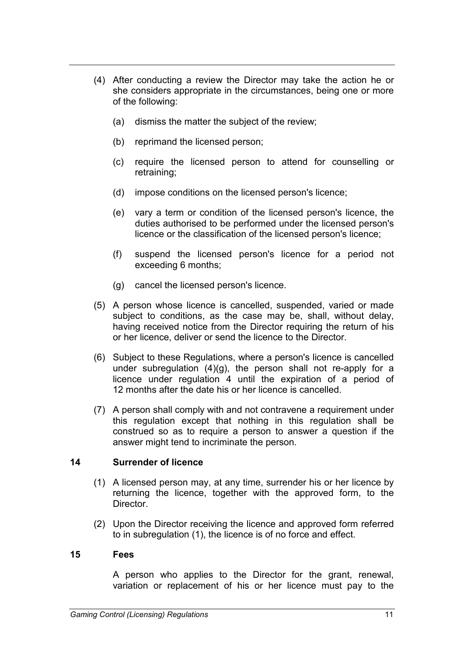- (4) After conducting a review the Director may take the action he or she considers appropriate in the circumstances, being one or more of the following:
	- (a) dismiss the matter the subject of the review;
	- (b) reprimand the licensed person;
	- (c) require the licensed person to attend for counselling or retraining;
	- (d) impose conditions on the licensed person's licence;
	- (e) vary a term or condition of the licensed person's licence, the duties authorised to be performed under the licensed person's licence or the classification of the licensed person's licence;
	- (f) suspend the licensed person's licence for a period not exceeding 6 months;
	- (g) cancel the licensed person's licence.
- (5) A person whose licence is cancelled, suspended, varied or made subject to conditions, as the case may be, shall, without delay, having received notice from the Director requiring the return of his or her licence, deliver or send the licence to the Director.
- (6) Subject to these Regulations, where a person's licence is cancelled under subregulation (4)(g), the person shall not re-apply for a licence under regulation 4 until the expiration of a period of 12 months after the date his or her licence is cancelled.
- (7) A person shall comply with and not contravene a requirement under this regulation except that nothing in this regulation shall be construed so as to require a person to answer a question if the answer might tend to incriminate the person.

## **14 Surrender of licence**

- (1) A licensed person may, at any time, surrender his or her licence by returning the licence, together with the approved form, to the Director.
- (2) Upon the Director receiving the licence and approved form referred to in subregulation (1), the licence is of no force and effect.

#### **15 Fees**

A person who applies to the Director for the grant, renewal, variation or replacement of his or her licence must pay to the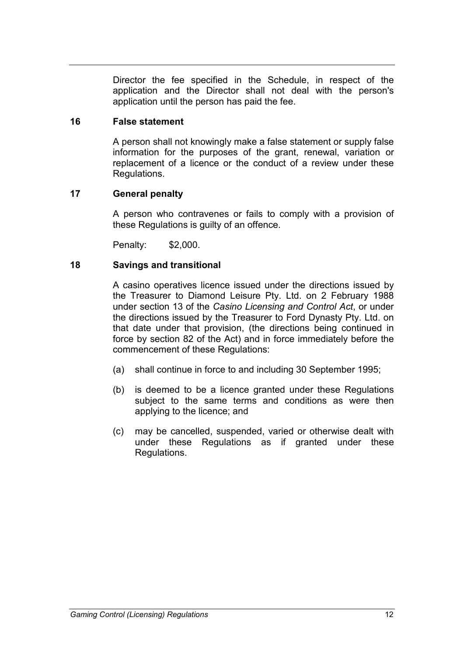Director the fee specified in the Schedule, in respect of the application and the Director shall not deal with the person's application until the person has paid the fee.

### **16 False statement**

A person shall not knowingly make a false statement or supply false information for the purposes of the grant, renewal, variation or replacement of a licence or the conduct of a review under these Regulations.

## **17 General penalty**

A person who contravenes or fails to comply with a provision of these Regulations is guilty of an offence.

Penalty: \$2,000.

## **18 Savings and transitional**

A casino operatives licence issued under the directions issued by the Treasurer to Diamond Leisure Pty. Ltd. on 2 February 1988 under section 13 of the *Casino Licensing and Control Act*, or under the directions issued by the Treasurer to Ford Dynasty Pty. Ltd. on that date under that provision, (the directions being continued in force by section 82 of the Act) and in force immediately before the commencement of these Regulations:

- (a) shall continue in force to and including 30 September 1995;
- (b) is deemed to be a licence granted under these Regulations subject to the same terms and conditions as were then applying to the licence; and
- (c) may be cancelled, suspended, varied or otherwise dealt with under these Regulations as if granted under these Regulations.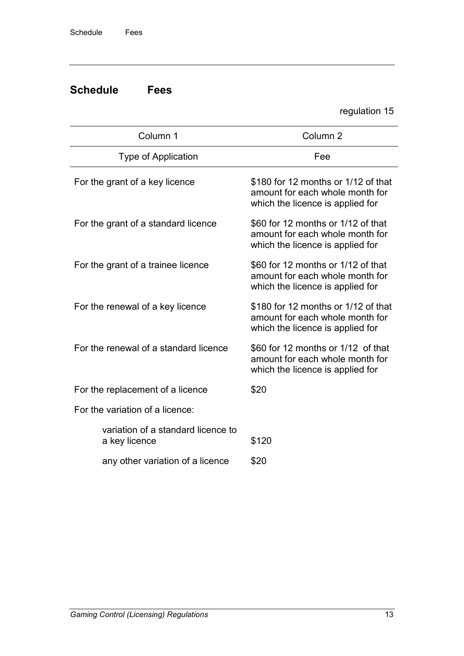# **Schedule Fees**

regulation 15

| Column 1                                            | Column <sub>2</sub>                                                                                        |  |
|-----------------------------------------------------|------------------------------------------------------------------------------------------------------------|--|
| <b>Type of Application</b>                          | Fee                                                                                                        |  |
| For the grant of a key licence                      | \$180 for 12 months or 1/12 of that<br>amount for each whole month for<br>which the licence is applied for |  |
| For the grant of a standard licence                 | \$60 for 12 months or 1/12 of that<br>amount for each whole month for<br>which the licence is applied for  |  |
| For the grant of a trainee licence                  | \$60 for 12 months or 1/12 of that<br>amount for each whole month for<br>which the licence is applied for  |  |
| For the renewal of a key licence                    | \$180 for 12 months or 1/12 of that<br>amount for each whole month for<br>which the licence is applied for |  |
| For the renewal of a standard licence               | \$60 for 12 months or 1/12 of that<br>amount for each whole month for<br>which the licence is applied for  |  |
| For the replacement of a licence                    | \$20                                                                                                       |  |
| For the variation of a licence:                     |                                                                                                            |  |
| variation of a standard licence to<br>a key licence | \$120                                                                                                      |  |
| any other variation of a licence                    | \$20                                                                                                       |  |